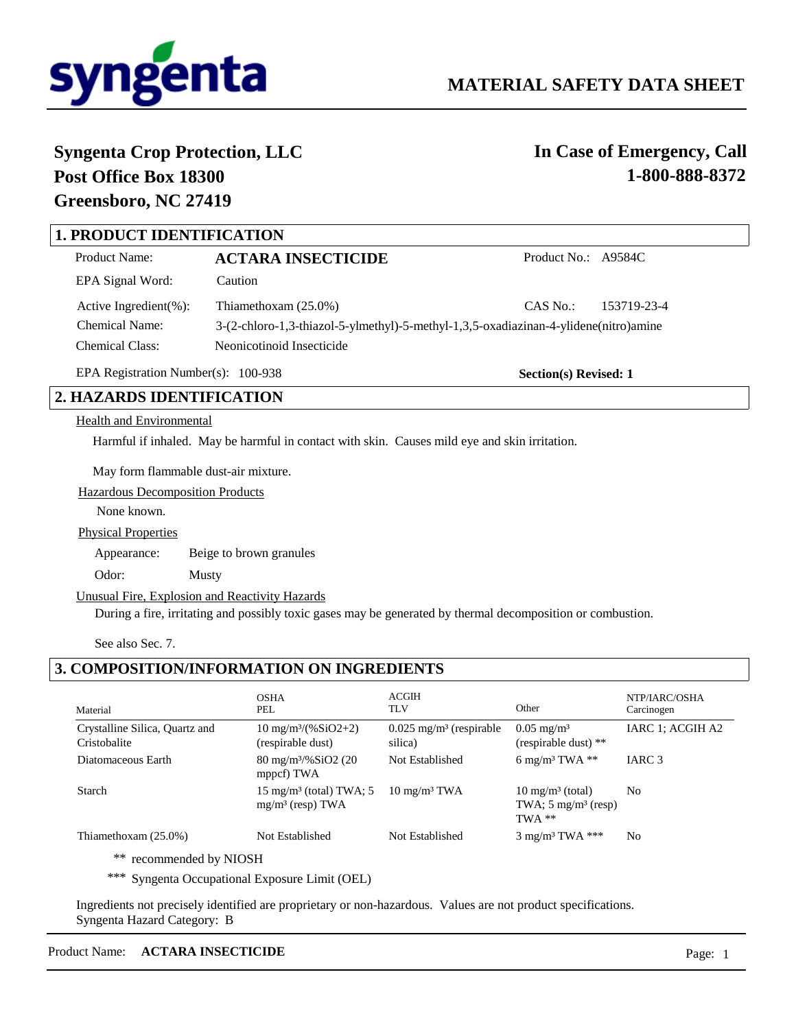

**Section(s) Revised: 1**

# **Syngenta Crop Protection, LLC Post Office Box 18300 Greensboro, NC 27419**

**In Case of Emergency, Call 1-800-888-8372**

## **1. PRODUCT IDENTIFICATION**

| Product Name:               | <b>ACTARA INSECTICIDE</b>                                                            | Product No.: A9584C |             |
|-----------------------------|--------------------------------------------------------------------------------------|---------------------|-------------|
| EPA Signal Word:            | Caution                                                                              |                     |             |
| Active Ingredient $(\% )$ : | Thiamethoxam $(25.0\%)$                                                              | CAS No.:            | 153719-23-4 |
| <b>Chemical Name:</b>       | 3-(2-chloro-1,3-thiazol-5-ylmethyl)-5-methyl-1,3,5-oxadiazinan-4-ylidene(nitro)amine |                     |             |
| Chemical Class:             | Neonicotinoid Insecticide                                                            |                     |             |

EPA Registration Number(s): 100-938

 **2. HAZARDS IDENTIFICATION**

#### Health and Environmental

Harmful if inhaled. May be harmful in contact with skin. Causes mild eye and skin irritation.

May form flammable dust-air mixture.

Hazardous Decomposition Products

None known.

Physical Properties

Appearance: Beige to brown granules

Odor: Musty

#### Unusual Fire, Explosion and Reactivity Hazards

During a fire, irritating and possibly toxic gases may be generated by thermal decomposition or combustion.

See also Sec. 7.

## **3. COMPOSITION/INFORMATION ON INGREDIENTS**

| Material                                       | <b>OSHA</b><br>PEL                                          | <b>ACGIH</b><br><b>TLV</b>                       | Other                                                                     | NTP/IARC/OSHA<br>Carcinogen |
|------------------------------------------------|-------------------------------------------------------------|--------------------------------------------------|---------------------------------------------------------------------------|-----------------------------|
| Crystalline Silica, Quartz and<br>Cristobalite | $10 \text{ mg/m}^3/(96 \text{SiO2}+2)$<br>(respirable dust) | $0.025$ mg/m <sup>3</sup> (respirable<br>silica) | $0.05 \text{ mg/m}^3$<br>(respirable dust) $**$                           | IARC 1; ACGIH A2            |
| Diatomaceous Earth                             | $80 \text{ mg/m}^3\%$ SiO2 (20)<br>mppcf) TWA               | Not Established                                  | 6 mg/m <sup>3</sup> TWA $**$                                              | IARC <sub>3</sub>           |
| Starch                                         | $15 \text{ mg/m}^3$ (total) TWA; 5<br>$mg/m3$ (resp) TWA    | $10 \text{ mg/m}^3$ TWA                          | $10 \text{ mg/m}^3$ (total)<br>TWA; $5 \text{ mg/m}^3$ (resp)<br>$TWA$ ** | N <sub>0</sub>              |
| Thiamethoxam $(25.0\%)$<br>.                   | Not Established                                             | Not Established                                  | $3 \text{ mg/m}^3$ TWA ***                                                | N <sub>0</sub>              |

\*\* recommended by NIOSH

\*\*\* Syngenta Occupational Exposure Limit (OEL)

Ingredients not precisely identified are proprietary or non-hazardous. Values are not product specifications. Syngenta Hazard Category: B

### Product Name: **ACTARA INSECTICIDE** Page: 1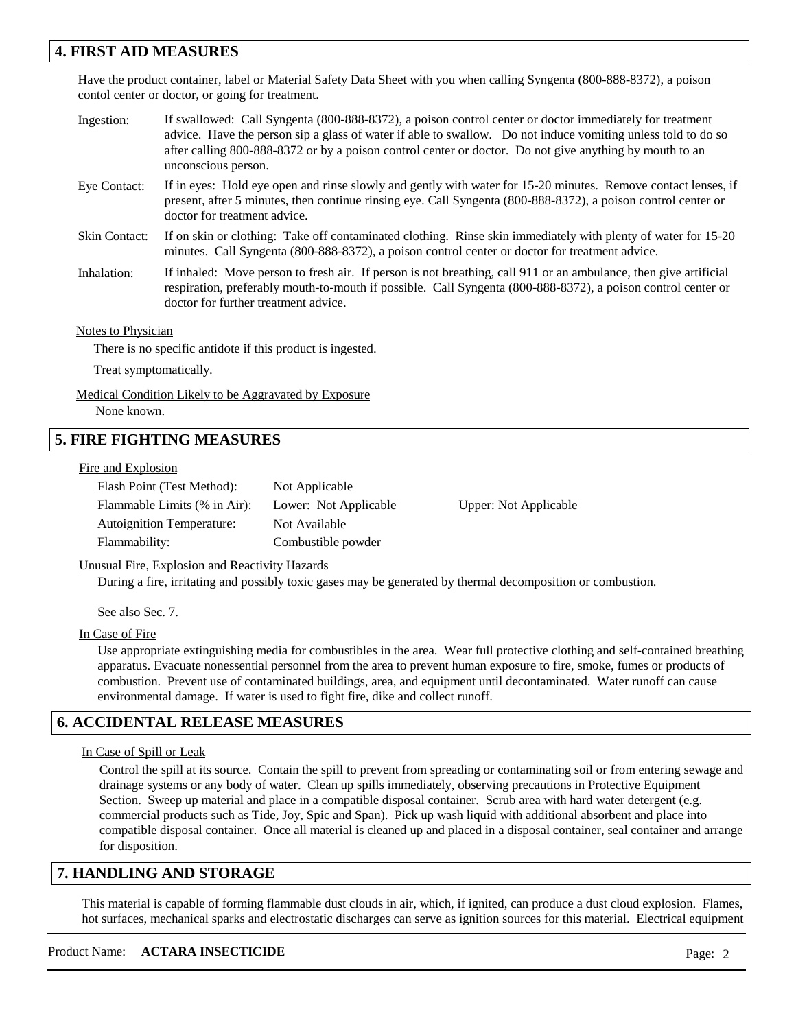## **4. FIRST AID MEASURES**

Have the product container, label or Material Safety Data Sheet with you when calling Syngenta (800-888-8372), a poison contol center or doctor, or going for treatment.

- If swallowed: Call Syngenta (800-888-8372), a poison control center or doctor immediately for treatment advice. Have the person sip a glass of water if able to swallow. Do not induce vomiting unless told to do so after calling 800-888-8372 or by a poison control center or doctor. Do not give anything by mouth to an unconscious person. Ingestion:
- If in eyes: Hold eye open and rinse slowly and gently with water for 15-20 minutes. Remove contact lenses, if present, after 5 minutes, then continue rinsing eye. Call Syngenta (800-888-8372), a poison control center or doctor for treatment advice. Eye Contact:
- If on skin or clothing: Take off contaminated clothing. Rinse skin immediately with plenty of water for 15-20 minutes. Call Syngenta (800-888-8372), a poison control center or doctor for treatment advice. Skin Contact:
- If inhaled: Move person to fresh air. If person is not breathing, call 911 or an ambulance, then give artificial respiration, preferably mouth-to-mouth if possible. Call Syngenta (800-888-8372), a poison control center or doctor for further treatment advice. Inhalation:

#### Notes to Physician

There is no specific antidote if this product is ingested.

Treat symptomatically.

Medical Condition Likely to be Aggravated by Exposure None known.

## **5. FIRE FIGHTING MEASURES**

#### Fire and Explosion

| Flash Point (Test Method):       | Not Applicable        |
|----------------------------------|-----------------------|
| Flammable Limits (% in Air):     | Lower: Not Applicable |
| <b>Autoignition Temperature:</b> | Not Available         |
| Flammability:                    | Combustible powder    |

Upper: Not Applicable

Unusual Fire, Explosion and Reactivity Hazards

During a fire, irritating and possibly toxic gases may be generated by thermal decomposition or combustion.

See also Sec. 7.

#### In Case of Fire

Use appropriate extinguishing media for combustibles in the area. Wear full protective clothing and self-contained breathing apparatus. Evacuate nonessential personnel from the area to prevent human exposure to fire, smoke, fumes or products of combustion. Prevent use of contaminated buildings, area, and equipment until decontaminated. Water runoff can cause environmental damage. If water is used to fight fire, dike and collect runoff.

## **6. ACCIDENTAL RELEASE MEASURES**

#### In Case of Spill or Leak

Control the spill at its source. Contain the spill to prevent from spreading or contaminating soil or from entering sewage and drainage systems or any body of water. Clean up spills immediately, observing precautions in Protective Equipment Section. Sweep up material and place in a compatible disposal container. Scrub area with hard water detergent (e.g. commercial products such as Tide, Joy, Spic and Span). Pick up wash liquid with additional absorbent and place into compatible disposal container. Once all material is cleaned up and placed in a disposal container, seal container and arrange for disposition.

### **7. HANDLING AND STORAGE**

This material is capable of forming flammable dust clouds in air, which, if ignited, can produce a dust cloud explosion. Flames, hot surfaces, mechanical sparks and electrostatic discharges can serve as ignition sources for this material. Electrical equipment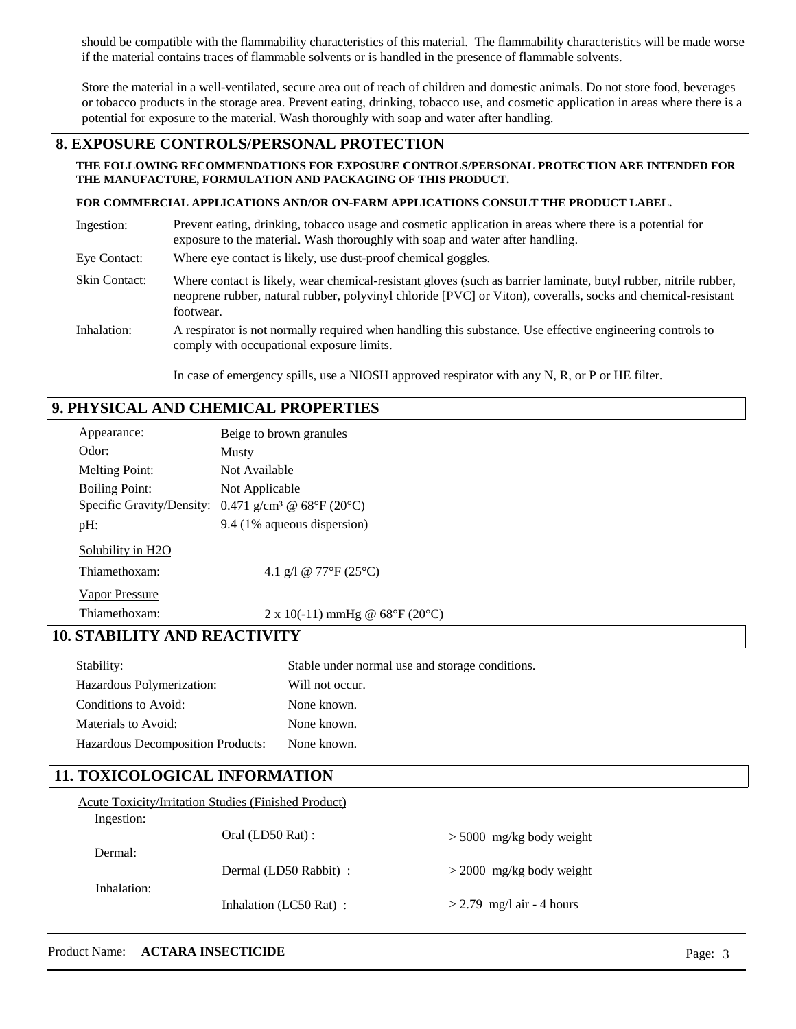should be compatible with the flammability characteristics of this material. The flammability characteristics will be made worse if the material contains traces of flammable solvents or is handled in the presence of flammable solvents.

Store the material in a well-ventilated, secure area out of reach of children and domestic animals. Do not store food, beverages or tobacco products in the storage area. Prevent eating, drinking, tobacco use, and cosmetic application in areas where there is a potential for exposure to the material. Wash thoroughly with soap and water after handling.

## **8. EXPOSURE CONTROLS/PERSONAL PROTECTION**

#### **THE FOLLOWING RECOMMENDATIONS FOR EXPOSURE CONTROLS/PERSONAL PROTECTION ARE INTENDED FOR THE MANUFACTURE, FORMULATION AND PACKAGING OF THIS PRODUCT.**

#### **FOR COMMERCIAL APPLICATIONS AND/OR ON-FARM APPLICATIONS CONSULT THE PRODUCT LABEL.**

| Ingestion:           | Prevent eating, drinking, tobacco usage and cosmetic application in areas where there is a potential for<br>exposure to the material. Wash thoroughly with soap and water after handling.                                                     |
|----------------------|-----------------------------------------------------------------------------------------------------------------------------------------------------------------------------------------------------------------------------------------------|
| Eye Contact:         | Where eye contact is likely, use dust-proof chemical goggles.                                                                                                                                                                                 |
| <b>Skin Contact:</b> | Where contact is likely, wear chemical-resistant gloves (such as barrier laminate, butyl rubber, nitrile rubber,<br>neoprene rubber, natural rubber, polyvinyl chloride [PVC] or Viton), coveralls, socks and chemical-resistant<br>footwear. |
| Inhalation:          | A respirator is not normally required when handling this substance. Use effective engineering controls to<br>comply with occupational exposure limits.                                                                                        |

In case of emergency spills, use a NIOSH approved respirator with any N, R, or P or HE filter.

## **9. PHYSICAL AND CHEMICAL PROPERTIES**

| Appearance:                         | Beige to brown granules                                           |  |  |
|-------------------------------------|-------------------------------------------------------------------|--|--|
| Odor:                               | Musty                                                             |  |  |
| <b>Melting Point:</b>               | Not Available                                                     |  |  |
| <b>Boiling Point:</b>               | Not Applicable                                                    |  |  |
|                                     | Specific Gravity/Density: $0.471$ g/cm <sup>3</sup> @ 68°F (20°C) |  |  |
| pH:                                 | 9.4 (1% aqueous dispersion)                                       |  |  |
| Solubility in H2O                   |                                                                   |  |  |
| Thiamethoxam:                       | 4.1 g/l @ 77°F (25°C)                                             |  |  |
| <b>Vapor Pressure</b>               |                                                                   |  |  |
| Thiamethoxam:                       | 2 x 10(-11) mmHg @ $68^{\circ}F(20^{\circ}C)$                     |  |  |
| <b>10. STABILITY AND REACTIVITY</b> |                                                                   |  |  |
| Stability:                          | Stable under normal use and storage conditions.                   |  |  |
| Hazardous Polymerization:           | Will not occur.                                                   |  |  |
| Conditions to Avoid:                | None known.                                                       |  |  |
| Materials to Avoid:                 | None known.                                                       |  |  |

## **11. TOXICOLOGICAL INFORMATION**

Hazardous Decomposition Products:

| <b>Acute Toxicity/Irritation Studies (Finished Product)</b> |  |  |  |
|-------------------------------------------------------------|--|--|--|
|                                                             |  |  |  |
|                                                             |  |  |  |
|                                                             |  |  |  |
|                                                             |  |  |  |
|                                                             |  |  |  |
|                                                             |  |  |  |
|                                                             |  |  |  |

None known.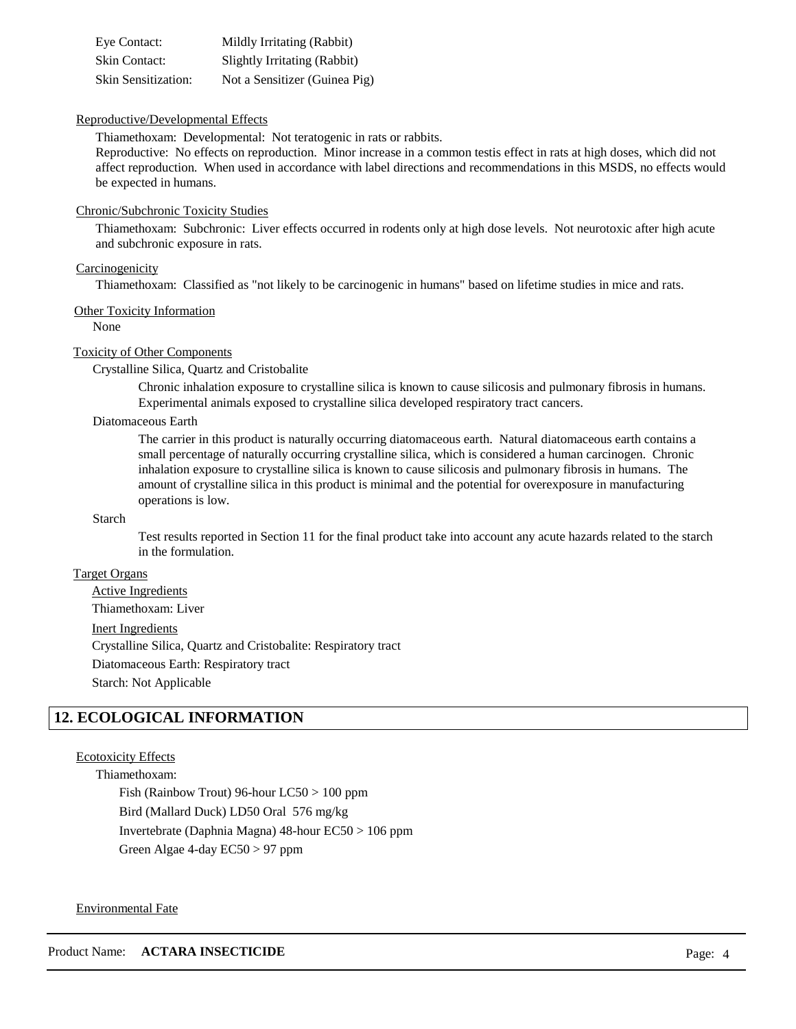| Eye Contact:               | Mildly Irritating (Rabbit)    |
|----------------------------|-------------------------------|
| <b>Skin Contact:</b>       | Slightly Irritating (Rabbit)  |
| <b>Skin Sensitization:</b> | Not a Sensitizer (Guinea Pig) |

#### Reproductive/Developmental Effects

Thiamethoxam: Developmental: Not teratogenic in rats or rabbits.

Reproductive: No effects on reproduction. Minor increase in a common testis effect in rats at high doses, which did not affect reproduction. When used in accordance with label directions and recommendations in this MSDS, no effects would be expected in humans.

#### Chronic/Subchronic Toxicity Studies

Thiamethoxam: Subchronic: Liver effects occurred in rodents only at high dose levels. Not neurotoxic after high acute and subchronic exposure in rats.

#### Carcinogenicity

Thiamethoxam: Classified as "not likely to be carcinogenic in humans" based on lifetime studies in mice and rats.

#### Other Toxicity Information

None

#### Toxicity of Other Components

Crystalline Silica, Quartz and Cristobalite

Chronic inhalation exposure to crystalline silica is known to cause silicosis and pulmonary fibrosis in humans. Experimental animals exposed to crystalline silica developed respiratory tract cancers.

#### Diatomaceous Earth

The carrier in this product is naturally occurring diatomaceous earth. Natural diatomaceous earth contains a small percentage of naturally occurring crystalline silica, which is considered a human carcinogen. Chronic inhalation exposure to crystalline silica is known to cause silicosis and pulmonary fibrosis in humans. The amount of crystalline silica in this product is minimal and the potential for overexposure in manufacturing operations is low.

#### Starch

Test results reported in Section 11 for the final product take into account any acute hazards related to the starch in the formulation.

#### Target Organs

Active Ingredients Thiamethoxam: Liver

#### Inert Ingredients

Crystalline Silica, Quartz and Cristobalite: Respiratory tract Diatomaceous Earth: Respiratory tract

Starch: Not Applicable

## **12. ECOLOGICAL INFORMATION**

#### Ecotoxicity Effects

Thiamethoxam:

Fish (Rainbow Trout) 96-hour LC50 > 100 ppm Bird (Mallard Duck) LD50 Oral 576 mg/kg Invertebrate (Daphnia Magna) 48-hour EC50 > 106 ppm Green Algae 4-day EC50 > 97 ppm

#### Environmental Fate

Product Name: **ACTARA INSECTICIDE** Page: 4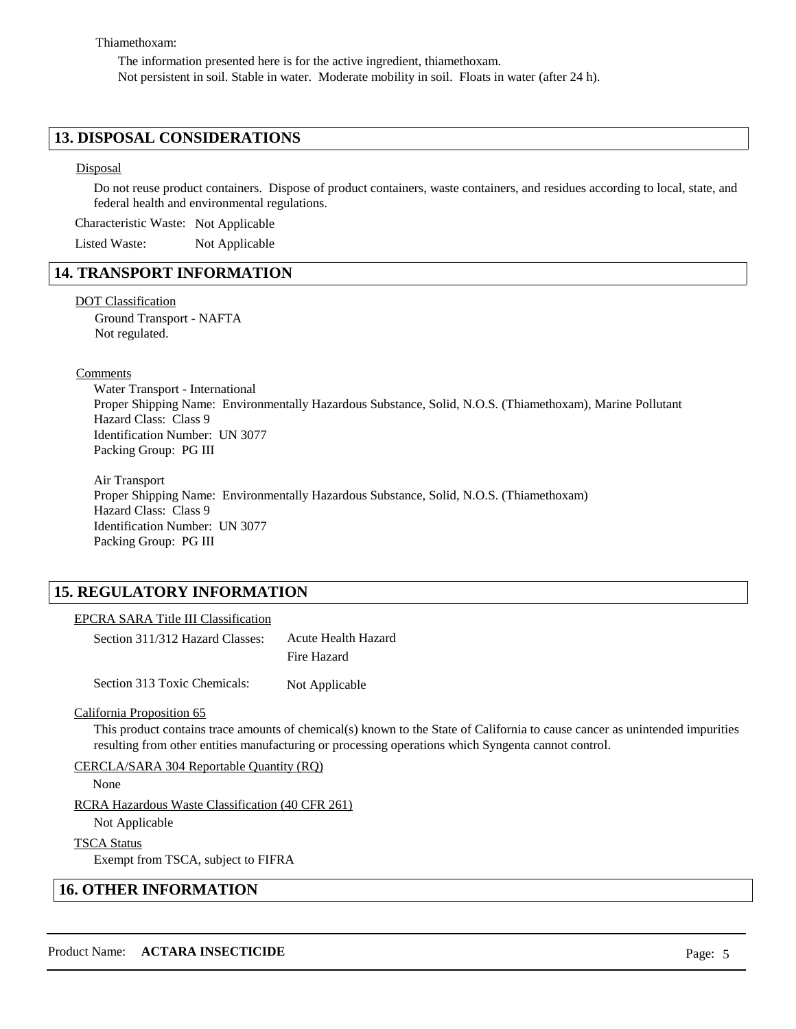#### Thiamethoxam:

The information presented here is for the active ingredient, thiamethoxam. Not persistent in soil. Stable in water. Moderate mobility in soil. Floats in water (after 24 h).

### **13. DISPOSAL CONSIDERATIONS**

#### Disposal

Do not reuse product containers. Dispose of product containers, waste containers, and residues according to local, state, and federal health and environmental regulations.

Characteristic Waste: Not Applicable

Listed Waste: Not Applicable

## **14. TRANSPORT INFORMATION**

#### DOT Classification

Ground Transport - NAFTA Not regulated.

Comments

Water Transport - International Proper Shipping Name: Environmentally Hazardous Substance, Solid, N.O.S. (Thiamethoxam), Marine Pollutant Hazard Class: Class 9 Identification Number: UN 3077 Packing Group: PG III

Air Transport Proper Shipping Name: Environmentally Hazardous Substance, Solid, N.O.S. (Thiamethoxam) Hazard Class: Class 9 Identification Number: UN 3077 Packing Group: PG III

## **15. REGULATORY INFORMATION**

#### EPCRA SARA Title III Classification

Section 311/312 Hazard Classes: Acute Health Hazard Fire Hazard

Section 313 Toxic Chemicals: Not Applicable

#### California Proposition 65

This product contains trace amounts of chemical(s) known to the State of California to cause cancer as unintended impurities resulting from other entities manufacturing or processing operations which Syngenta cannot control.

#### CERCLA/SARA 304 Reportable Quantity (RQ)

None

RCRA Hazardous Waste Classification (40 CFR 261)

Not Applicable

#### TSCA Status

Exempt from TSCA, subject to FIFRA

#### **16. OTHER INFORMATION**